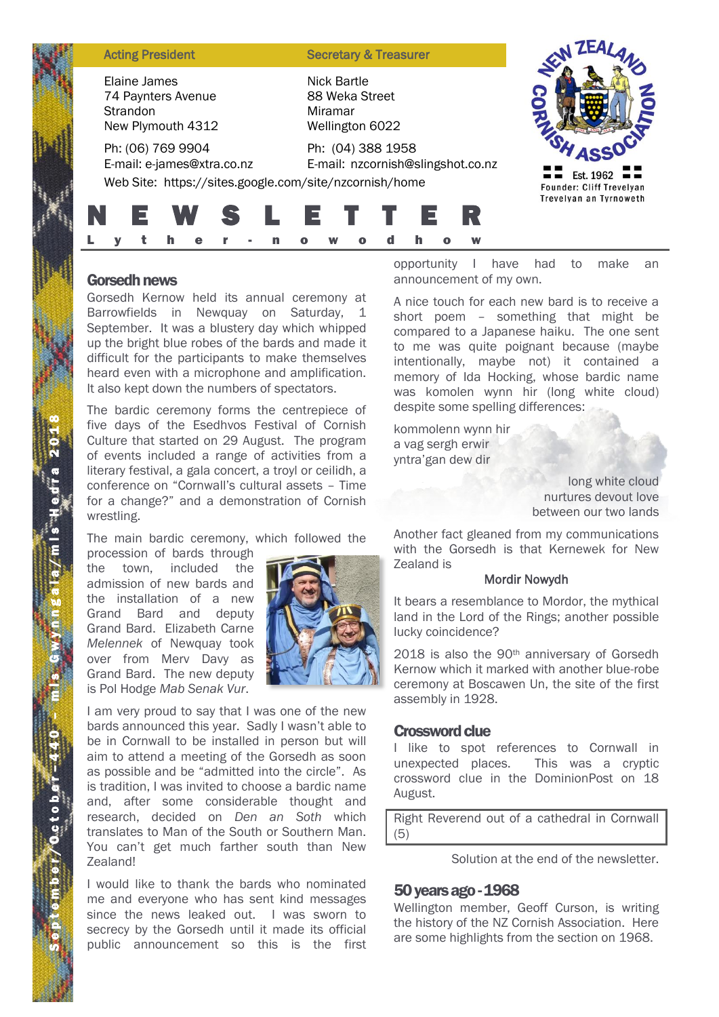| <b>Acting President</b><br>Elaine James<br>Strandon | 74 Paynters Avenue<br>New Plymouth 4312<br>Ph: (06) 769 9904<br>E-mail: e-james@xtra.co.nz | <b>Secretary &amp; Treasurer</b><br>Nick Bartle<br>88 Weka Street<br>Miramar<br>Wellington 6022<br>Ph: (04) 388 1958<br>E-mail: nzcornish@slingshot.co.nz |                                                                        |
|-----------------------------------------------------|--------------------------------------------------------------------------------------------|-----------------------------------------------------------------------------------------------------------------------------------------------------------|------------------------------------------------------------------------|
|                                                     | E W S<br>е                                                                                 | Web Site: https://sites.google.com/site/nzcornish/home<br>ETT<br>Е.<br>n<br>W<br>d                                                                        | Est. 1962<br><b>Founder: Cliff Trevelyan</b><br>Trevelyan an Tyrnoweth |

## Gorsedh news

Gorsedh Kernow held its annual ceremony at Barrowfields in Newquay on Saturday, 1 September. It was a blustery day which whipped up the bright blue robes of the bards and made it difficult for the participants to make themselves heard even with a microphone and amplification. It also kept down the numbers of spectators.

The bardic ceremony forms the centrepiece of five days of the Esedhvos Festival of Cornish Culture that started on 29 August. The program of events included a range of activities from a literary festival, a gala concert, a troyl or ceilidh, a conference on "Cornwall's cultural assets – Time for a change?" and a demonstration of Cornish wrestling.

The main bardic ceremony, which followed the

procession of bards through the town, included the admission of new bards and the installation of a new Grand Bard and deputy Grand Bard. Elizabeth Carne *Melennek* of Newquay took over from Merv Davy as Grand Bard. The new deputy is Pol Hodge *Mab Senak Vur*.



I am very proud to say that I was one of the new bards announced this year. Sadly I wasn't able to be in Cornwall to be installed in person but will aim to attend a meeting of the Gorsedh as soon as possible and be "admitted into the circle". As is tradition, I was invited to choose a bardic name and, after some considerable thought and research, decided on *Den an Soth* which translates to Man of the South or Southern Man. You can't get much farther south than New Zealand!

I would like to thank the bards who nominated me and everyone who has sent kind messages since the news leaked out. I was sworn to secrecy by the Gorsedh until it made its official public announcement so this is the first opportunity I have had to make an announcement of my own.

A nice touch for each new bard is to receive a short poem – something that might be compared to a Japanese haiku. The one sent to me was quite poignant because (maybe intentionally, maybe not) it contained a memory of Ida Hocking, whose bardic name was komolen wynn hir (long white cloud) despite some spelling differences:

kommolenn wynn hir a vag sergh erwir yntra'gan dew dir

> long white cloud nurtures devout love between our two lands

Another fact gleaned from my communications with the Gorsedh is that Kernewek for New Zealand is

#### Mordir Nowydh

It bears a resemblance to Mordor, the mythical land in the Lord of the Rings; another possible lucky coincidence?

2018 is also the 90<sup>th</sup> anniversary of Gorsedh Kernow which it marked with another blue-robe ceremony at Boscawen Un, the site of the first assembly in 1928.

### Crossword clue

I like to spot references to Cornwall in unexpected places. This was a cryptic crossword clue in the DominionPost on 18 August.

Right Reverend out of a cathedral in Cornwall (5)

Solution at the end of the newsletter.

# 50 years ago -1968

Wellington member, Geoff Curson, is writing the history of the NZ Cornish Association. Here are some highlights from the section on 1968.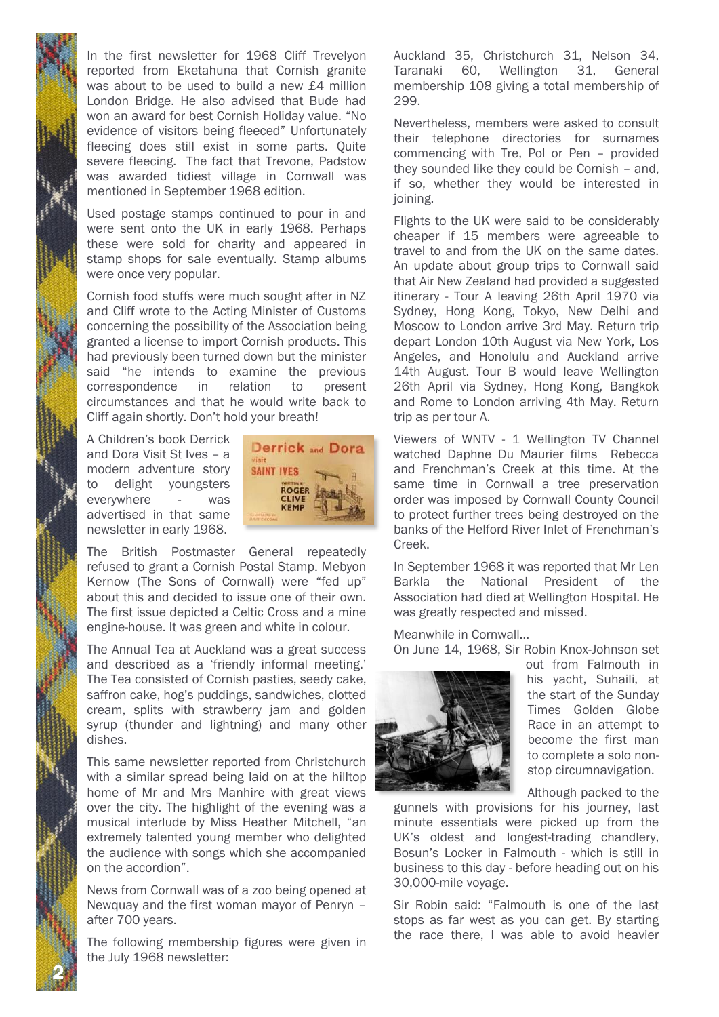In the first newsletter for 1968 Cliff Trevelyon reported from Eketahuna that Cornish granite was about to be used to build a new £4 million London Bridge. He also advised that Bude had won an award for best Cornish Holiday value. "No evidence of visitors being fleeced" Unfortunately fleecing does still exist in some parts. Quite severe fleecing. The fact that Trevone, Padstow was awarded tidiest village in Cornwall was mentioned in September 1968 edition.

Used postage stamps continued to pour in and were sent onto the UK in early 1968. Perhaps these were sold for charity and appeared in stamp shops for sale eventually. Stamp albums were once very popular.

Cornish food stuffs were much sought after in NZ and Cliff wrote to the Acting Minister of Customs concerning the possibility of the Association being granted a license to import Cornish products. This had previously been turned down but the minister said "he intends to examine the previous correspondence in relation to present circumstances and that he would write back to Cliff again shortly. Don't hold your breath!

A Children's book Derrick and Dora Visit St Ives – a modern adventure story to delight youngsters everywhere - was advertised in that same newsletter in early 1968.



The British Postmaster General repeatedly refused to grant a Cornish Postal Stamp. Mebyon Kernow (The Sons of Cornwall) were "fed up" about this and decided to issue one of their own. The first issue depicted a Celtic Cross and a mine engine-house. It was green and white in colour.

The Annual Tea at Auckland was a great success and described as a 'friendly informal meeting.' The Tea consisted of Cornish pasties, seedy cake, saffron cake, hog's puddings, sandwiches, clotted cream, splits with strawberry jam and golden syrup (thunder and lightning) and many other dishes.

This same newsletter reported from Christchurch with a similar spread being laid on at the hilltop home of Mr and Mrs Manhire with great views over the city. The highlight of the evening was a musical interlude by Miss Heather Mitchell, "an extremely talented young member who delighted the audience with songs which she accompanied on the accordion".

News from Cornwall was of a zoo being opened at Newquay and the first woman mayor of Penryn – after 700 years.

The following membership figures were given in the July 1968 newsletter:

2 N

Auckland 35, Christchurch 31, Nelson 34, Taranaki 60, Wellington 31, General membership 108 giving a total membership of 299.

Nevertheless, members were asked to consult their telephone directories for surnames commencing with Tre, Pol or Pen – provided they sounded like they could be Cornish – and, if so, whether they would be interested in joining.

Flights to the UK were said to be considerably cheaper if 15 members were agreeable to travel to and from the UK on the same dates. An update about group trips to Cornwall said that Air New Zealand had provided a suggested itinerary - Tour A leaving 26th April 1970 via Sydney, Hong Kong, Tokyo, New Delhi and Moscow to London arrive 3rd May. Return trip depart London 10th August via New York, Los Angeles, and Honolulu and Auckland arrive 14th August. Tour B would leave Wellington 26th April via Sydney, Hong Kong, Bangkok and Rome to London arriving 4th May. Return trip as per tour A.

Viewers of WNTV - 1 Wellington TV Channel watched Daphne Du Maurier films Rebecca and Frenchman's Creek at this time. At the same time in Cornwall a tree preservation order was imposed by Cornwall County Council to protect further trees being destroyed on the banks of the Helford River Inlet of Frenchman's Creek.

In September 1968 it was reported that Mr Len Barkla the National President of the Association had died at Wellington Hospital. He was greatly respected and missed.

Meanwhile in Cornwall…

On June 14, 1968, Sir Robin Knox-Johnson set



out from Falmouth in his yacht, Suhaili, at the start of the Sunday Times Golden Globe Race in an attempt to become the first man to complete a solo nonstop circumnavigation.

Although packed to the

gunnels with provisions for his journey, last minute essentials were picked up from the UK's oldest and longest-trading chandlery, Bosun's Locker in Falmouth - which is still in business to this day - before heading out on his 30,000-mile voyage.

Sir Robin said: "Falmouth is one of the last stops as far west as you can get. By starting the race there, I was able to avoid heavier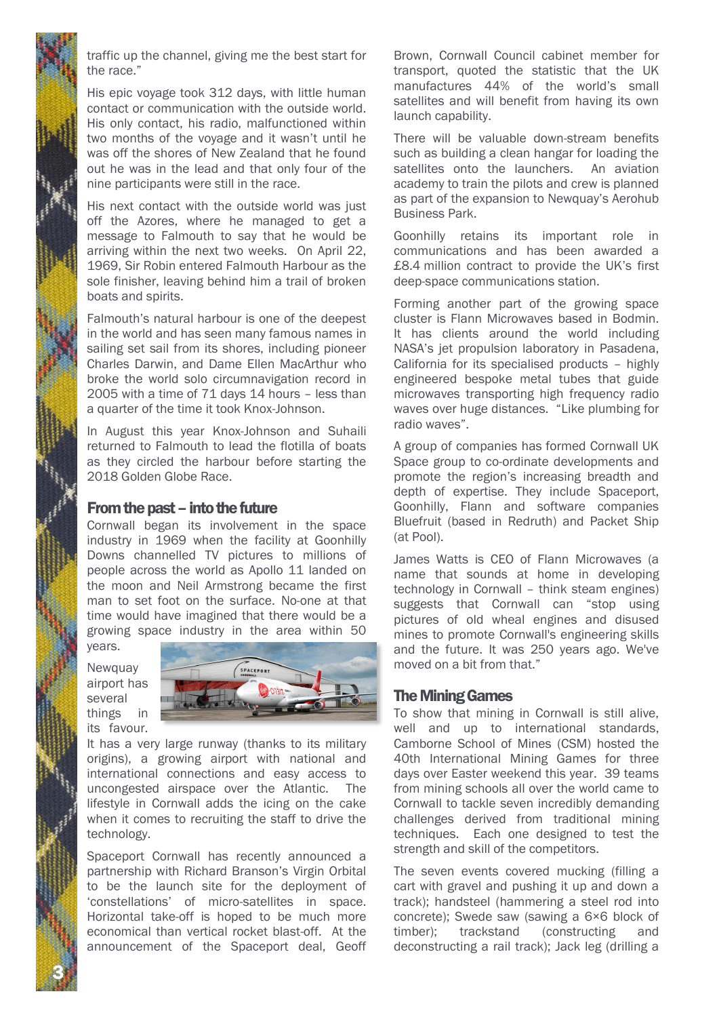

traffic up the channel, giving me the best start for the race."

His epic voyage took 312 days, with little human contact or communication with the outside world. His only contact, his radio, malfunctioned within two months of the voyage and it wasn't until he was off the shores of New Zealand that he found out he was in the lead and that only four of the nine participants were still in the race.

His next contact with the outside world was just off the Azores, where he managed to get a message to Falmouth to say that he would be arriving within the next two weeks. On April 22, 1969, Sir Robin entered Falmouth Harbour as the sole finisher, leaving behind him a trail of broken boats and spirits.

Falmouth's natural harbour is one of the deepest in the world and has seen many famous names in sailing set sail from its shores, including pioneer Charles Darwin, and Dame Ellen MacArthur who broke the world solo circumnavigation record in 2005 with a time of 71 days 14 hours – less than a quarter of the time it took Knox-Johnson.

In August this year Knox-Johnson and Suhaili returned to Falmouth to lead the flotilla of boats as they circled the harbour before starting the 2018 Golden Globe Race.

## From the past – into the future

Cornwall began its involvement in the space industry in 1969 when the facility at Goonhilly Downs channelled TV pictures to millions of people across the world as Apollo 11 landed on the moon and Neil Armstrong became the first man to set foot on the surface. No-one at that time would have imagined that there would be a growing space industry in the area within 50 years.

**Newquay** airport has several things in its favour.



It has a very large runway (thanks to its military origins), a growing airport with national and international connections and easy access to uncongested airspace over the Atlantic. The lifestyle in Cornwall adds the icing on the cake when it comes to recruiting the staff to drive the technology.

Spaceport Cornwall has recently announced a partnership with Richard Branson's Virgin Orbital to be the launch site for the deployment of 'constellations' of micro-satellites in space. Horizontal take-off is hoped to be much more economical than vertical rocket blast-off. At the announcement of the Spaceport deal, Geoff Brown, Cornwall Council cabinet member for transport, quoted the statistic that the UK manufactures 44% of the world's small satellites and will benefit from having its own launch capability.

There will be valuable down-stream benefits such as building a clean hangar for loading the satellites onto the launchers. An aviation academy to train the pilots and crew is planned as part of the expansion to Newquay's Aerohub Business Park.

Goonhilly retains its important role in communications and has been awarded a £8.4 million contract to provide the UK's first deep-space communications station.

Forming another part of the growing space cluster is Flann Microwaves based in Bodmin. It has clients around the world including NASA's jet propulsion laboratory in Pasadena, California for its specialised products – highly engineered bespoke metal tubes that guide microwaves transporting high frequency radio waves over huge distances. "Like plumbing for radio waves".

A group of companies has formed Cornwall UK Space group to co-ordinate developments and promote the region's increasing breadth and depth of expertise. They include Spaceport, Goonhilly, Flann and software companies Bluefruit (based in Redruth) and Packet Ship (at Pool).

James Watts is CEO of Flann Microwaves (a name that sounds at home in developing technology in Cornwall – think steam engines) suggests that Cornwall can "stop using pictures of old wheal engines and disused mines to promote Cornwall's engineering skills and the future. It was 250 years ago. We've moved on a bit from that."

### The Mining Games

To show that mining in Cornwall is still alive, well and up to international standards, Camborne School of Mines (CSM) hosted the 40th International Mining Games for three days over Easter weekend this year. 39 teams from mining schools all over the world came to Cornwall to tackle seven incredibly demanding challenges derived from traditional mining techniques. Each one designed to test the strength and skill of the competitors.

The seven events covered mucking (filling a cart with gravel and pushing it up and down a track); handsteel (hammering a steel rod into concrete); Swede saw (sawing a 6×6 block of timber); trackstand (constructing and deconstructing a rail track); Jack leg (drilling a